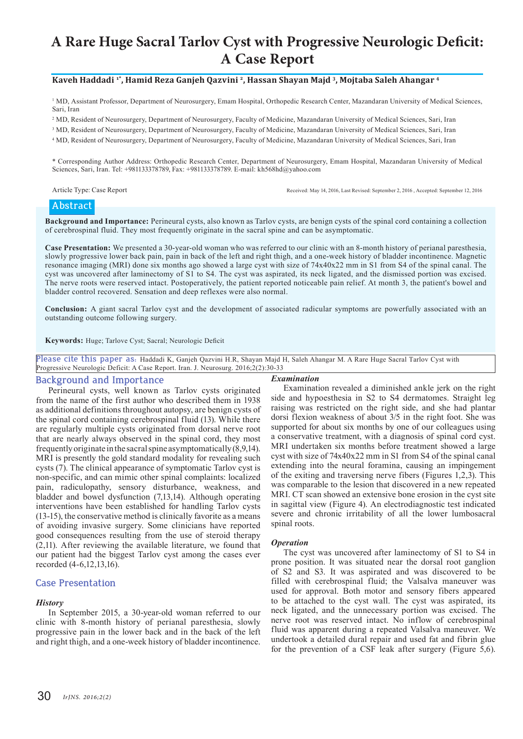# **A Rare Huge Sacral Tarlov Cyst with Progressive Neurologic Deficit: A Case Report**

#### **Kaveh Haddadi 1\*, Hamid Reza Ganjeh Qazvini <sup>2</sup>, Hassan Shayan Majd <sup>3</sup>, Mojtaba Saleh Ahangar <sup>4</sup>**

<sup>1</sup> MD, Assistant Professor, Department of Neurosurgery, Emam Hospital, Orthopedic Research Center, Mazandaran University of Medical Sciences, Sari, Iran

2 MD, Resident of Neurosurgery, Department of Neurosurgery, Faculty of Medicine, Mazandaran University of Medical Sciences, Sari, Iran

<sup>3</sup> MD, Resident of Neurosurgery, Department of Neurosurgery, Faculty of Medicine, Mazandaran University of Medical Sciences, Sari, Iran

4 MD, Resident of Neurosurgery, Department of Neurosurgery, Faculty of Medicine, Mazandaran University of Medical Sciences, Sari, Iran

\* Corresponding Author Address: Orthopedic Research Center, Department of Neurosurgery, Emam Hospital, Mazandaran University of Medical Sciences, Sari, Iran. Tel: +981133378789, Fax: +981133378789. E-mail: kh568hd@yahoo.com

Article Type: Case Report Received: May 14, 2016, Last Revised: September 2, 2016 , Accepted: September 12, 2016

### **Abstract**

**Background and Importance:** Perineural cysts, also known as Tarlov cysts, are benign cysts of the spinal cord containing a collection of cerebrospinal fluid. They most frequently originate in the sacral spine and can be asymptomatic.

**Case Presentation:** We presented a 30-year-old woman who was referred to our clinic with an 8-month history of perianal paresthesia, slowly progressive lower back pain, pain in back of the left and right thigh, and a one-week history of bladder incontinence. Magnetic resonance imaging (MRI) done six months ago showed a large cyst with size of 74x40x22 mm in S1 from S4 of the spinal canal. The cyst was uncovered after laminectomy of S1 to S4. The cyst was aspirated, its neck ligated, and the dismissed portion was excised. The nerve roots were reserved intact. Postoperatively, the patient reported noticeable pain relief. At month 3, the patient's bowel and bladder control recovered. Sensation and deep reflexes were also normal.

**Conclusion:** A giant sacral Tarlov cyst and the development of associated radicular symptoms are powerfully associated with an outstanding outcome following surgery.

**Keywords:** Huge; Tarlove Cyst; Sacral; Neurologic Deficit

**Please cite this paper as:** Haddadi K, Ganjeh Qazvini H.R, Shayan Majd H, Saleh Ahangar M. A Rare Huge Sacral Tarlov Cyst with Progressive Neurologic Deficit: A Case Report. Iran. J. Neurosurg. 2016;2(2):30-33

#### **Background and Importance**

Perineural cysts, well known as Tarlov cysts originated from the name of the first author who described them in 1938 as additional definitions throughout autopsy, are benign cysts of the spinal cord containing cerebrospinal fluid (13). While there are regularly multiple cysts originated from dorsal nerve root that are nearly always observed in the spinal cord, they most frequently originate in the sacral spine asymptomatically (8,9,14). MRI is presently the gold standard modality for revealing such cysts (7). The clinical appearance of symptomatic Tarlov cyst is non-specific, and can mimic other spinal complaints: localized pain, radiculopathy, sensory disturbance, weakness, and bladder and bowel dysfunction (7,13,14). Although operating interventions have been established for handling Tarlov cysts (13-15), the conservative method is clinically favorite as a means of avoiding invasive surgery. Some clinicians have reported good consequences resulting from the use of steroid therapy (2,11). After reviewing the available literature, we found that our patient had the biggest Tarlov cyst among the cases ever recorded (4-6,12,13,16).

#### **Case Presentation**

#### *History*

In September 2015, a 30-year-old woman referred to our clinic with 8-month history of perianal paresthesia, slowly progressive pain in the lower back and in the back of the left and right thigh, and a one-week history of bladder incontinence.

#### *Examination*

Examination revealed a diminished ankle jerk on the right side and hypoesthesia in S2 to S4 dermatomes. Straight leg raising was restricted on the right side, and she had plantar dorsi flexion weakness of about 3/5 in the right foot. She was supported for about six months by one of our colleagues using a conservative treatment, with a diagnosis of spinal cord cyst. MRI undertaken six months before treatment showed a large cyst with size of 74x40x22 mm in S1 from S4 of the spinal canal extending into the neural foramina, causing an impingement of the exiting and traversing nerve fibers (Figures 1,2,3). This was comparable to the lesion that discovered in a new repeated MRI. CT scan showed an extensive bone erosion in the cyst site in sagittal view (Figure 4). An electrodiagnostic test indicated severe and chronic irritability of all the lower lumbosacral spinal roots.

#### *Operation*

The cyst was uncovered after laminectomy of S1 to S4 in prone position. It was situated near the dorsal root ganglion of S2 and S3. It was aspirated and was discovered to be filled with cerebrospinal fluid; the Valsalva maneuver was used for approval. Both motor and sensory fibers appeared to be attached to the cyst wall. The cyst was aspirated, its neck ligated, and the unnecessary portion was excised. The nerve root was reserved intact. No inflow of cerebrospinal fluid was apparent during a repeated Valsalva maneuver. We undertook a detailed dural repair and used fat and fibrin glue for the prevention of a CSF leak after surgery (Figure 5,6).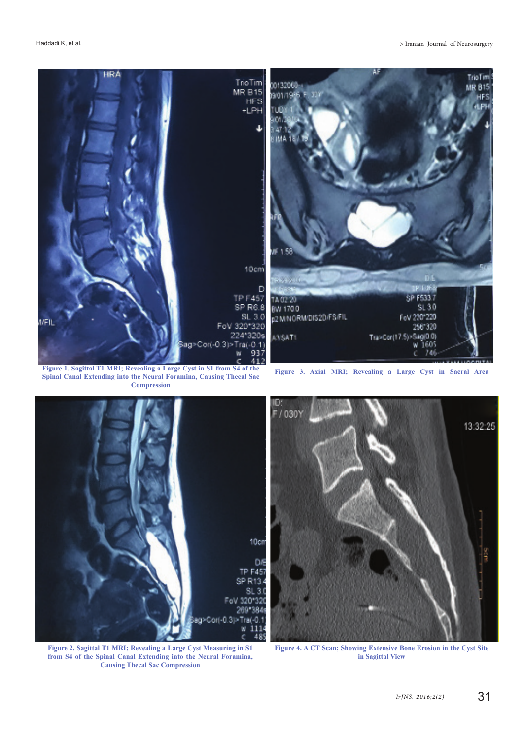

**Spinal Canal Extending into the Neural Foramina, Causing Thecal Sac Compression**

n /030



13:32:25 š

**Figure 2. Sagittal T1 MRI; Revealing a Large Cyst Measuring in S1 from S4 of the Spinal Canal Extending into the Neural Foramina, Causing Thecal Sac Compression**

**Figure 4. A CT Scan; Showing Extensive Bone Erosion in the Cyst Site in Sagittal View**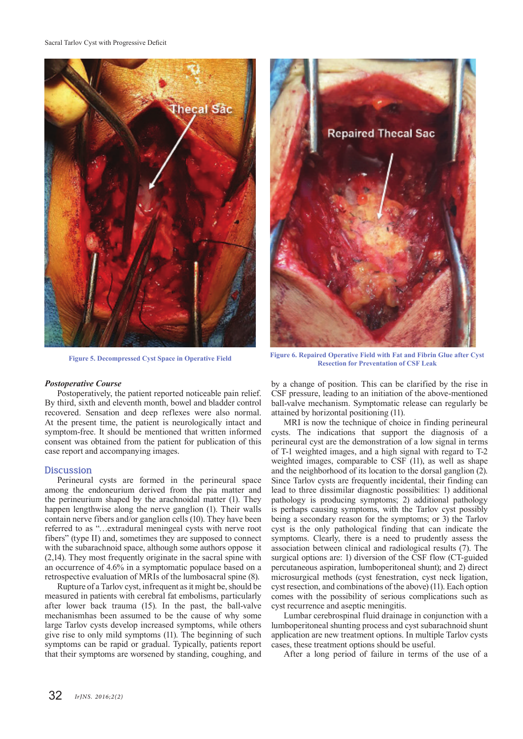Sacral Tarlov Cyst with Progressive Deficit



#### *Postoperative Course*

Postoperatively, the patient reported noticeable pain relief. By third, sixth and eleventh month, bowel and bladder control recovered. Sensation and deep reflexes were also normal. At the present time, the patient is neurologically intact and symptom-free. It should be mentioned that written informed consent was obtained from the patient for publication of this case report and accompanying images.

#### **Discussion**

Perineural cysts are formed in the perineural space among the endoneurium derived from the pia matter and the perineurium shaped by the arachnoidal matter (1). They happen lengthwise along the nerve ganglion (1). Their walls contain nerve fibers and/or ganglion cells (10). They have been referred to as "…extradural meningeal cysts with nerve root fibers" (type II) and, sometimes they are supposed to connect with the subarachnoid space, although some authors oppose it (2,14). They most frequently originate in the sacral spine with an occurrence of 4.6% in a symptomatic populace based on a retrospective evaluation of MRIs of the lumbosacral spine (8).

Rupture of a Tarlov cyst, infrequent as it might be, should be measured in patients with cerebral fat embolisms, particularly after lower back trauma (15). In the past, the ball-valve mechanismhas been assumed to be the cause of why some large Tarlov cysts develop increased symptoms, while others give rise to only mild symptoms (11). The beginning of such symptoms can be rapid or gradual. Typically, patients report that their symptoms are worsened by standing, coughing, and



**Figure 5. Decompressed Cyst Space in Operative Field Figure 6. Repaired Operative Field with Fat and Fibrin Glue after Cyst Resection for Preventation of CSF Leak**

by a change of position. This can be clarified by the rise in CSF pressure, leading to an initiation of the above-mentioned ball-valve mechanism. Symptomatic release can regularly be attained by horizontal positioning (11).

MRI is now the technique of choice in finding perineural cysts. The indications that support the diagnosis of a perineural cyst are the demonstration of a low signal in terms of T-1 weighted images, and a high signal with regard to T-2 weighted images, comparable to CSF (11), as well as shape and the neighborhood of its location to the dorsal ganglion (2). Since Tarlov cysts are frequently incidental, their finding can lead to three dissimilar diagnostic possibilities: 1) additional pathology is producing symptoms; 2) additional pathology is perhaps causing symptoms, with the Tarlov cyst possibly being a secondary reason for the symptoms; or 3) the Tarlov cyst is the only pathological finding that can indicate the symptoms. Clearly, there is a need to prudently assess the association between clinical and radiological results (7). The surgical options are: 1) diversion of the CSF flow (CT-guided percutaneous aspiration, lumboperitoneal shunt); and 2) direct microsurgical methods (cyst fenestration, cyst neck ligation, cyst resection, and combinations of the above) (11). Each option comes with the possibility of serious complications such as cyst recurrence and aseptic meningitis.

Lumbar cerebrospinal fluid drainage in conjunction with a lumboperitoneal shunting process and cyst subarachnoid shunt application are new treatment options. In multiple Tarlov cysts cases, these treatment options should be useful.

After a long period of failure in terms of the use of a